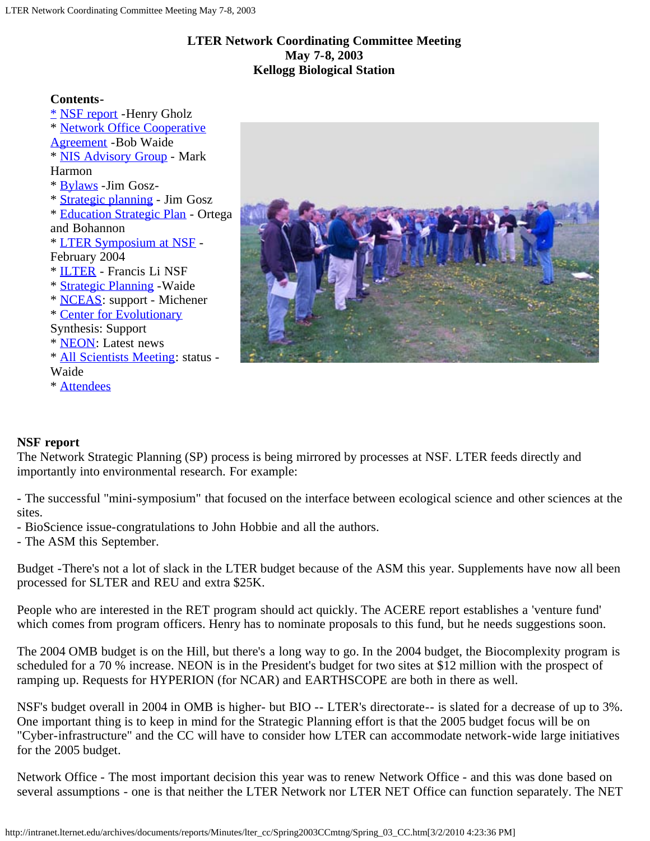### **LTER Network Coordinating Committee Meeting May 7-8, 2003 Kellogg Biological Station**

#### **Contents-**

[\\*](#page-0-0) [NSF report](#page-0-0) -Henry Gholz \* [Network Office Cooperative](#page-2-0) [Agreement](#page-2-0) -Bob Waide \* [NIS Advisory Group](#page-3-0) - Mark Harmon \* [Bylaws](#page-5-0) -Jim Gosz- \* [Strategic planning](http://intranet.lternet.edu/archives/documents/reports/Minutes/lter_cc/Spring2003CCmtng/StrategicPlanningCCmtn.html) - Jim Gosz \* [Education Strategic Plan](#page-5-1) - Ortega and Bohannon \* [LTER Symposium at NSF](#page-8-0) - February 2004 \* [ILTER](#page-6-0) - Francis Li NSF \* [Strategic Planning](#page-7-0) -Waide \* [NCEAS:](#page-7-1) support - Michener \* [Center for Evolutionary](#page-7-2) Synthesis: Support \* [NEON:](#page-7-3) Latest news \* [All Scientists Meeting:](#page-8-1) status - Waide \* [Attendees](#page-8-2)



# <span id="page-0-0"></span>**NSF report**

The Network Strategic Planning (SP) process is being mirrored by processes at NSF. LTER feeds directly and importantly into environmental research. For example:

- The successful "mini-symposium" that focused on the interface between ecological science and other sciences at the sites.

- BioScience issue-congratulations to John Hobbie and all the authors.

- The ASM this September.

Budget -There's not a lot of slack in the LTER budget because of the ASM this year. Supplements have now all been processed for SLTER and REU and extra \$25K.

People who are interested in the RET program should act quickly. The ACERE report establishes a 'venture fund' which comes from program officers. Henry has to nominate proposals to this fund, but he needs suggestions soon.

The 2004 OMB budget is on the Hill, but there's a long way to go. In the 2004 budget, the Biocomplexity program is scheduled for a 70 % increase. NEON is in the President's budget for two sites at \$12 million with the prospect of ramping up. Requests for HYPERION (for NCAR) and EARTHSCOPE are both in there as well.

NSF's budget overall in 2004 in OMB is higher- but BIO -- LTER's directorate-- is slated for a decrease of up to 3%. One important thing is to keep in mind for the Strategic Planning effort is that the 2005 budget focus will be on "Cyber-infrastructure" and the CC will have to consider how LTER can accommodate network-wide large initiatives for the 2005 budget.

Network Office - The most important decision this year was to renew Network Office - and this was done based on several assumptions - one is that neither the LTER Network nor LTER NET Office can function separately. The NET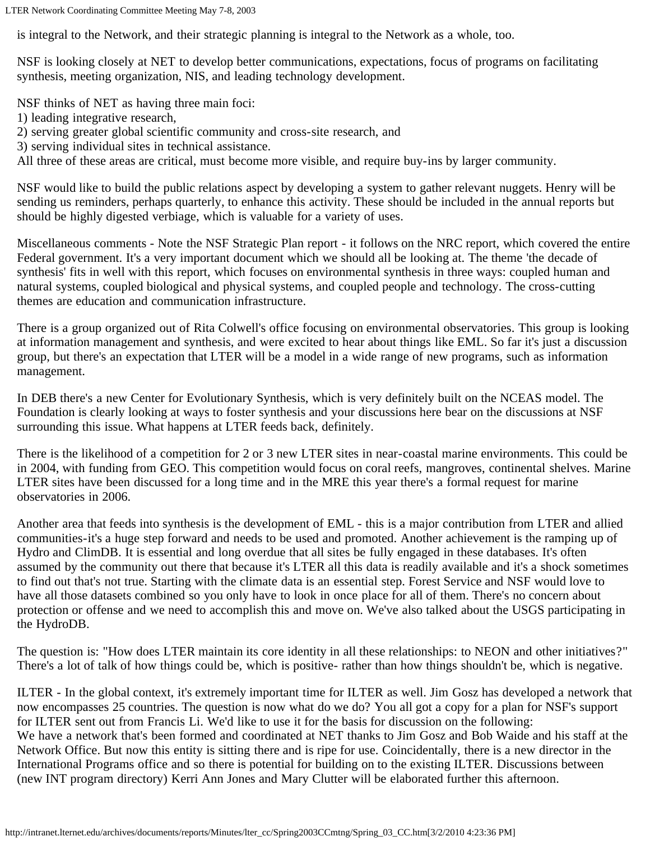LTER Network Coordinating Committee Meeting May 7-8, 2003

is integral to the Network, and their strategic planning is integral to the Network as a whole, too.

NSF is looking closely at NET to develop better communications, expectations, focus of programs on facilitating synthesis, meeting organization, NIS, and leading technology development.

NSF thinks of NET as having three main foci:

- 1) leading integrative research,
- 2) serving greater global scientific community and cross-site research, and
- 3) serving individual sites in technical assistance.

All three of these areas are critical, must become more visible, and require buy-ins by larger community.

NSF would like to build the public relations aspect by developing a system to gather relevant nuggets. Henry will be sending us reminders, perhaps quarterly, to enhance this activity. These should be included in the annual reports but should be highly digested verbiage, which is valuable for a variety of uses.

Miscellaneous comments - Note the NSF Strategic Plan report - it follows on the NRC report, which covered the entire Federal government. It's a very important document which we should all be looking at. The theme 'the decade of synthesis' fits in well with this report, which focuses on environmental synthesis in three ways: coupled human and natural systems, coupled biological and physical systems, and coupled people and technology. The cross-cutting themes are education and communication infrastructure.

There is a group organized out of Rita Colwell's office focusing on environmental observatories. This group is looking at information management and synthesis, and were excited to hear about things like EML. So far it's just a discussion group, but there's an expectation that LTER will be a model in a wide range of new programs, such as information management.

In DEB there's a new Center for Evolutionary Synthesis, which is very definitely built on the NCEAS model. The Foundation is clearly looking at ways to foster synthesis and your discussions here bear on the discussions at NSF surrounding this issue. What happens at LTER feeds back, definitely.

There is the likelihood of a competition for 2 or 3 new LTER sites in near-coastal marine environments. This could be in 2004, with funding from GEO. This competition would focus on coral reefs, mangroves, continental shelves. Marine LTER sites have been discussed for a long time and in the MRE this year there's a formal request for marine observatories in 2006.

Another area that feeds into synthesis is the development of EML - this is a major contribution from LTER and allied communities-it's a huge step forward and needs to be used and promoted. Another achievement is the ramping up of Hydro and ClimDB. It is essential and long overdue that all sites be fully engaged in these databases. It's often assumed by the community out there that because it's LTER all this data is readily available and it's a shock sometimes to find out that's not true. Starting with the climate data is an essential step. Forest Service and NSF would love to have all those datasets combined so you only have to look in once place for all of them. There's no concern about protection or offense and we need to accomplish this and move on. We've also talked about the USGS participating in the HydroDB.

The question is: "How does LTER maintain its core identity in all these relationships: to NEON and other initiatives?" There's a lot of talk of how things could be, which is positive- rather than how things shouldn't be, which is negative.

ILTER - In the global context, it's extremely important time for ILTER as well. Jim Gosz has developed a network that now encompasses 25 countries. The question is now what do we do? You all got a copy for a plan for NSF's support for ILTER sent out from Francis Li. We'd like to use it for the basis for discussion on the following: We have a network that's been formed and coordinated at NET thanks to Jim Gosz and Bob Waide and his staff at the Network Office. But now this entity is sitting there and is ripe for use. Coincidentally, there is a new director in the International Programs office and so there is potential for building on to the existing ILTER. Discussions between (new INT program directory) Kerri Ann Jones and Mary Clutter will be elaborated further this afternoon.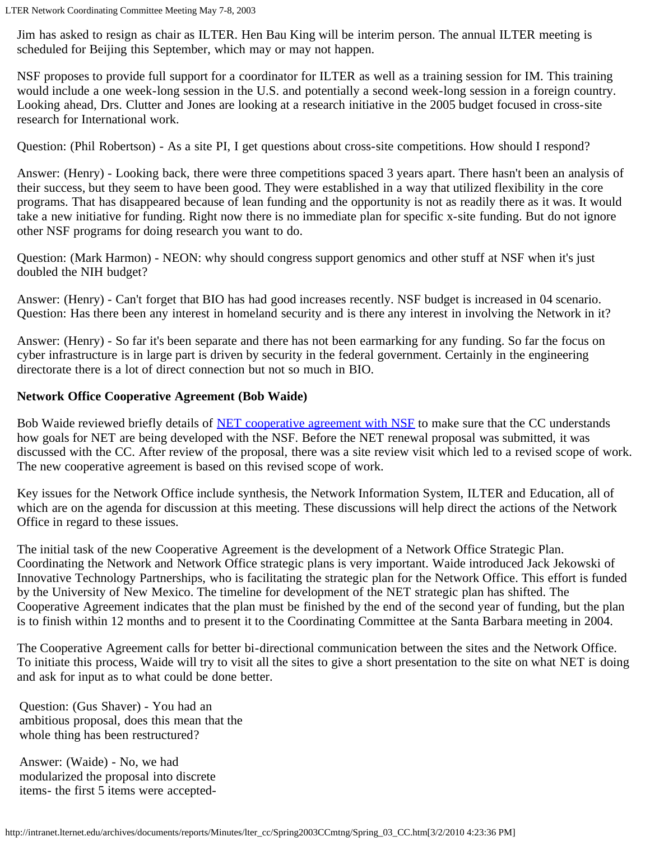Jim has asked to resign as chair as ILTER. Hen Bau King will be interim person. The annual ILTER meeting is scheduled for Beijing this September, which may or may not happen.

NSF proposes to provide full support for a coordinator for ILTER as well as a training session for IM. This training would include a one week-long session in the U.S. and potentially a second week-long session in a foreign country. Looking ahead, Drs. Clutter and Jones are looking at a research initiative in the 2005 budget focused in cross-site research for International work.

Question: (Phil Robertson) - As a site PI, I get questions about cross-site competitions. How should I respond?

Answer: (Henry) - Looking back, there were three competitions spaced 3 years apart. There hasn't been an analysis of their success, but they seem to have been good. They were established in a way that utilized flexibility in the core programs. That has disappeared because of lean funding and the opportunity is not as readily there as it was. It would take a new initiative for funding. Right now there is no immediate plan for specific x-site funding. But do not ignore other NSF programs for doing research you want to do.

Question: (Mark Harmon) - NEON: why should congress support genomics and other stuff at NSF when it's just doubled the NIH budget?

Answer: (Henry) - Can't forget that BIO has had good increases recently. NSF budget is increased in 04 scenario. Question: Has there been any interest in homeland security and is there any interest in involving the Network in it?

Answer: (Henry) - So far it's been separate and there has not been earmarking for any funding. So far the focus on cyber infrastructure is in large part is driven by security in the federal government. Certainly in the engineering directorate there is a lot of direct connection but not so much in BIO.

## <span id="page-2-0"></span>**Network Office Cooperative Agreement (Bob Waide)**

Bob Waide reviewed briefly details of **NET** cooperative agreement with NSF to make sure that the CC understands how goals for NET are being developed with the NSF. Before the NET renewal proposal was submitted, it was discussed with the CC. After review of the proposal, there was a site review visit which led to a revised scope of work. The new cooperative agreement is based on this revised scope of work.

Key issues for the Network Office include synthesis, the Network Information System, ILTER and Education, all of which are on the agenda for discussion at this meeting. These discussions will help direct the actions of the Network Office in regard to these issues.

The initial task of the new Cooperative Agreement is the development of a Network Office Strategic Plan. Coordinating the Network and Network Office strategic plans is very important. Waide introduced Jack Jekowski of Innovative Technology Partnerships, who is facilitating the strategic plan for the Network Office. This effort is funded by the University of New Mexico. The timeline for development of the NET strategic plan has shifted. The Cooperative Agreement indicates that the plan must be finished by the end of the second year of funding, but the plan is to finish within 12 months and to present it to the Coordinating Committee at the Santa Barbara meeting in 2004.

The Cooperative Agreement calls for better bi-directional communication between the sites and the Network Office. To initiate this process, Waide will try to visit all the sites to give a short presentation to the site on what NET is doing and ask for input as to what could be done better.

Question: (Gus Shaver) - You had an ambitious proposal, does this mean that the whole thing has been restructured?

Answer: (Waide) - No, we had modularized the proposal into discrete items- the first 5 items were accepted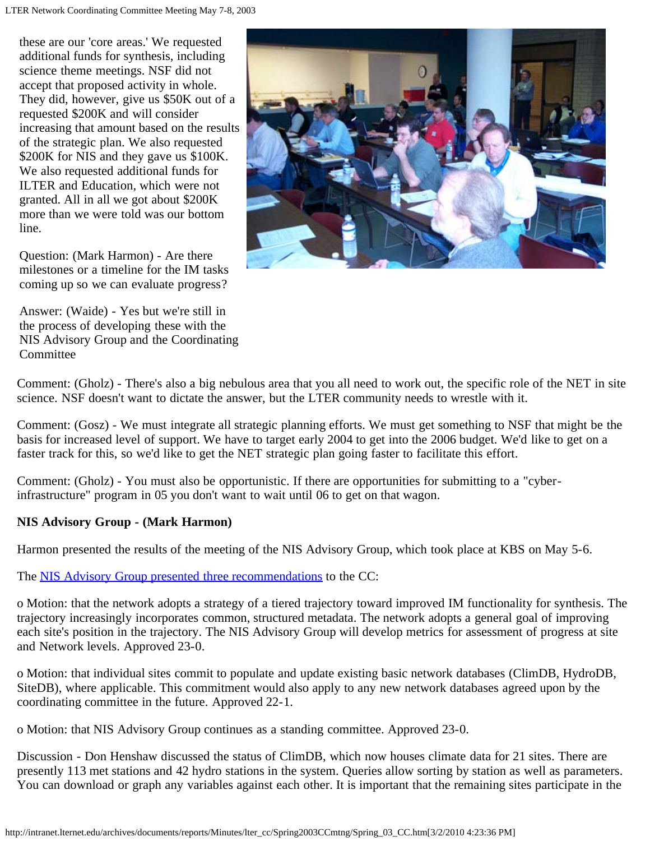these are our 'core areas.' We requested additional funds for synthesis, including science theme meetings. NSF did not accept that proposed activity in whole. They did, however, give us \$50K out of a requested \$200K and will consider increasing that amount based on the results of the strategic plan. We also requested \$200K for NIS and they gave us \$100K. We also requested additional funds for ILTER and Education, which were not granted. All in all we got about \$200K more than we were told was our bottom line.

Question: (Mark Harmon) - Are there milestones or a timeline for the IM tasks coming up so we can evaluate progress?

Answer: (Waide) - Yes but we're still in the process of developing these with the NIS Advisory Group and the Coordinating **Committee** 



Comment: (Gholz) - There's also a big nebulous area that you all need to work out, the specific role of the NET in site science. NSF doesn't want to dictate the answer, but the LTER community needs to wrestle with it.

Comment: (Gosz) - We must integrate all strategic planning efforts. We must get something to NSF that might be the basis for increased level of support. We have to target early 2004 to get into the 2006 budget. We'd like to get on a faster track for this, so we'd like to get the NET strategic plan going faster to facilitate this effort.

Comment: (Gholz) - You must also be opportunistic. If there are opportunities for submitting to a "cyberinfrastructure" program in 05 you don't want to wait until 06 to get on that wagon.

### <span id="page-3-0"></span>**NIS Advisory Group - (Mark Harmon)**

Harmon presented the results of the meeting of the NIS Advisory Group, which took place at KBS on May 5-6.

The [NIS Advisory Group presented three recommendations](http://intranet.lternet.edu/archives/documents/reports/Minutes/lter_cc/Spring2003CCmtng/NISAG_CC_May2003.html) to the CC:

o Motion: that the network adopts a strategy of a tiered trajectory toward improved IM functionality for synthesis. The trajectory increasingly incorporates common, structured metadata. The network adopts a general goal of improving each site's position in the trajectory. The NIS Advisory Group will develop metrics for assessment of progress at site and Network levels. Approved 23-0.

o Motion: that individual sites commit to populate and update existing basic network databases (ClimDB, HydroDB, SiteDB), where applicable. This commitment would also apply to any new network databases agreed upon by the coordinating committee in the future. Approved 22-1.

o Motion: that NIS Advisory Group continues as a standing committee. Approved 23-0.

Discussion - Don Henshaw discussed the status of ClimDB, which now houses climate data for 21 sites. There are presently 113 met stations and 42 hydro stations in the system. Queries allow sorting by station as well as parameters. You can download or graph any variables against each other. It is important that the remaining sites participate in the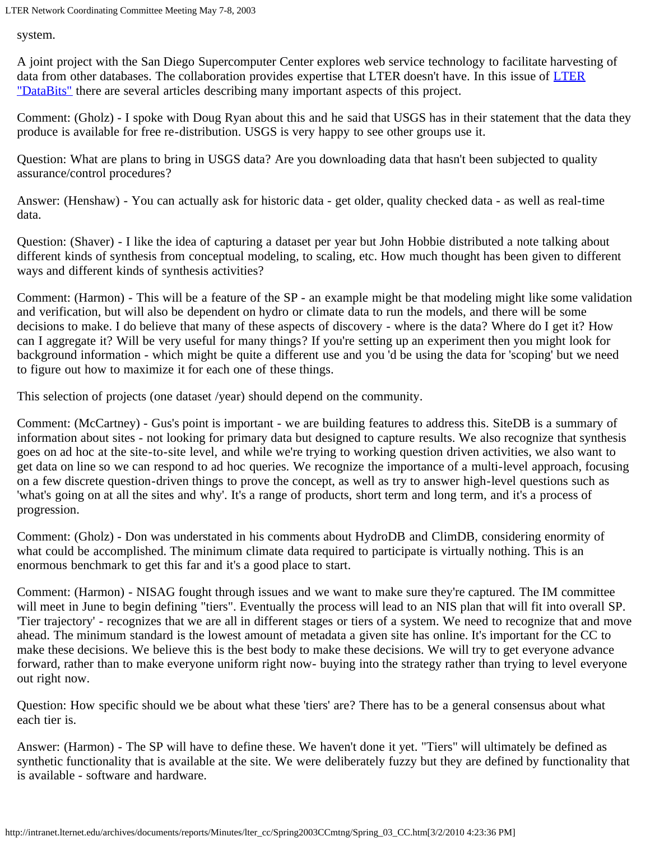LTER Network Coordinating Committee Meeting May 7-8, 2003

system.

A joint project with the San Diego Supercomputer Center explores web service technology to facilitate harvesting of data from other databases. The collaboration provides expertise that [LTER](http://intranet.lternet.edu/archives/documents/Newsletters/DataBits/03fall/) doesn't have. In this issue of LTER ["DataBits"](http://intranet.lternet.edu/archives/documents/Newsletters/DataBits/03fall/) there are several articles describing many important aspects of this project.

Comment: (Gholz) - I spoke with Doug Ryan about this and he said that USGS has in their statement that the data they produce is available for free re-distribution. USGS is very happy to see other groups use it.

Question: What are plans to bring in USGS data? Are you downloading data that hasn't been subjected to quality assurance/control procedures?

Answer: (Henshaw) - You can actually ask for historic data - get older, quality checked data - as well as real-time data.

Question: (Shaver) - I like the idea of capturing a dataset per year but John Hobbie distributed a note talking about different kinds of synthesis from conceptual modeling, to scaling, etc. How much thought has been given to different ways and different kinds of synthesis activities?

Comment: (Harmon) - This will be a feature of the SP - an example might be that modeling might like some validation and verification, but will also be dependent on hydro or climate data to run the models, and there will be some decisions to make. I do believe that many of these aspects of discovery - where is the data? Where do I get it? How can I aggregate it? Will be very useful for many things? If you're setting up an experiment then you might look for background information - which might be quite a different use and you 'd be using the data for 'scoping' but we need to figure out how to maximize it for each one of these things.

This selection of projects (one dataset /year) should depend on the community.

Comment: (McCartney) - Gus's point is important - we are building features to address this. SiteDB is a summary of information about sites - not looking for primary data but designed to capture results. We also recognize that synthesis goes on ad hoc at the site-to-site level, and while we're trying to working question driven activities, we also want to get data on line so we can respond to ad hoc queries. We recognize the importance of a multi-level approach, focusing on a few discrete question-driven things to prove the concept, as well as try to answer high-level questions such as 'what's going on at all the sites and why'. It's a range of products, short term and long term, and it's a process of progression.

Comment: (Gholz) - Don was understated in his comments about HydroDB and ClimDB, considering enormity of what could be accomplished. The minimum climate data required to participate is virtually nothing. This is an enormous benchmark to get this far and it's a good place to start.

Comment: (Harmon) - NISAG fought through issues and we want to make sure they're captured. The IM committee will meet in June to begin defining "tiers". Eventually the process will lead to an NIS plan that will fit into overall SP. 'Tier trajectory' - recognizes that we are all in different stages or tiers of a system. We need to recognize that and move ahead. The minimum standard is the lowest amount of metadata a given site has online. It's important for the CC to make these decisions. We believe this is the best body to make these decisions. We will try to get everyone advance forward, rather than to make everyone uniform right now- buying into the strategy rather than trying to level everyone out right now.

Question: How specific should we be about what these 'tiers' are? There has to be a general consensus about what each tier is.

Answer: (Harmon) - The SP will have to define these. We haven't done it yet. "Tiers" will ultimately be defined as synthetic functionality that is available at the site. We were deliberately fuzzy but they are defined by functionality that is available - software and hardware.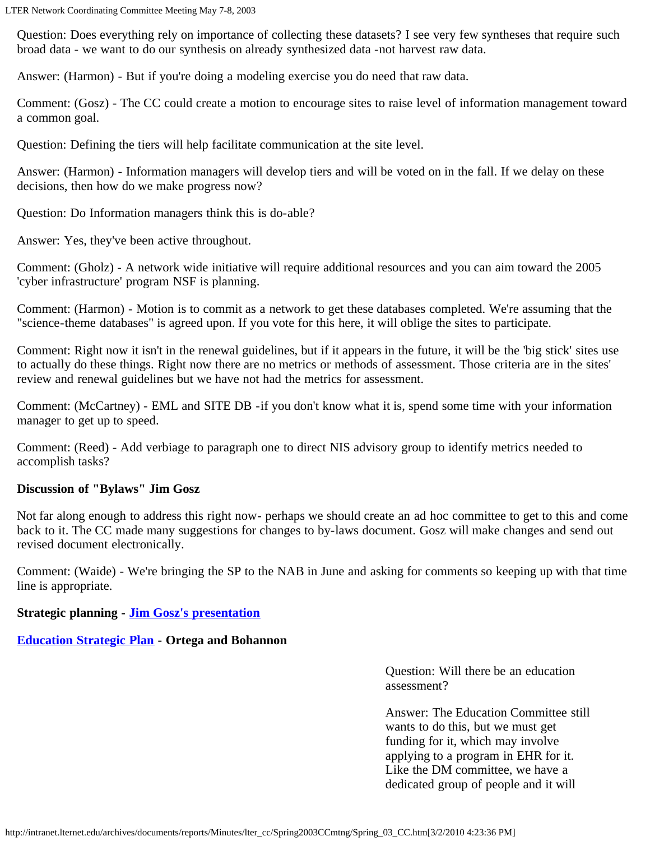Question: Does everything rely on importance of collecting these datasets? I see very few syntheses that require such broad data - we want to do our synthesis on already synthesized data -not harvest raw data.

Answer: (Harmon) - But if you're doing a modeling exercise you do need that raw data.

Comment: (Gosz) - The CC could create a motion to encourage sites to raise level of information management toward a common goal.

Question: Defining the tiers will help facilitate communication at the site level.

Answer: (Harmon) - Information managers will develop tiers and will be voted on in the fall. If we delay on these decisions, then how do we make progress now?

Question: Do Information managers think this is do-able?

Answer: Yes, they've been active throughout.

Comment: (Gholz) - A network wide initiative will require additional resources and you can aim toward the 2005 'cyber infrastructure' program NSF is planning.

Comment: (Harmon) - Motion is to commit as a network to get these databases completed. We're assuming that the "science-theme databases" is agreed upon. If you vote for this here, it will oblige the sites to participate.

Comment: Right now it isn't in the renewal guidelines, but if it appears in the future, it will be the 'big stick' sites use to actually do these things. Right now there are no metrics or methods of assessment. Those criteria are in the sites' review and renewal guidelines but we have not had the metrics for assessment.

Comment: (McCartney) - EML and SITE DB -if you don't know what it is, spend some time with your information manager to get up to speed.

Comment: (Reed) - Add verbiage to paragraph one to direct NIS advisory group to identify metrics needed to accomplish tasks?

### <span id="page-5-0"></span>**Discussion of "Bylaws" Jim Gosz**

Not far along enough to address this right now- perhaps we should create an ad hoc committee to get to this and come back to it. The CC made many suggestions for changes to by-laws document. Gosz will make changes and send out revised document electronically.

Comment: (Waide) - We're bringing the SP to the NAB in June and asking for comments so keeping up with that time line is appropriate.

### **Strategic planning - [Jim Gosz's presentation](http://intranet.lternet.edu/archives/documents/reports/Minutes/lter_cc/Spring2003CCmtng/StrategicPlanningCCmtn.html)**

### <span id="page-5-1"></span>**[Education Strategic Plan](http://intranet.lternet.edu/archives/documents/reports/Minutes/lter_cc/Spring2003CCmtng/EDUCStratPlanCCMay%202003.ppt) - Ortega and Bohannon**

Question: Will there be an education assessment?

Answer: The Education Committee still wants to do this, but we must get funding for it, which may involve applying to a program in EHR for it. Like the DM committee, we have a dedicated group of people and it will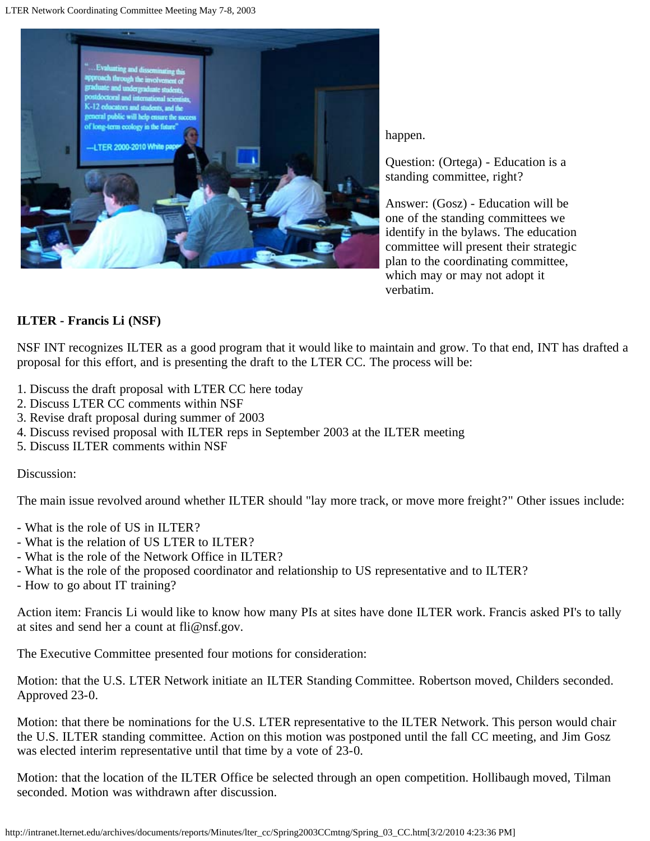

happen.

Question: (Ortega) - Education is a standing committee, right?

Answer: (Gosz) - Education will be one of the standing committees we identify in the bylaws. The education committee will present their strategic plan to the coordinating committee, which may or may not adopt it verbatim.

## <span id="page-6-0"></span>**ILTER - Francis Li (NSF)**

NSF INT recognizes ILTER as a good program that it would like to maintain and grow. To that end, INT has drafted a proposal for this effort, and is presenting the draft to the LTER CC. The process will be:

- 1. Discuss the draft proposal with LTER CC here today
- 2. Discuss LTER CC comments within NSF
- 3. Revise draft proposal during summer of 2003
- 4. Discuss revised proposal with ILTER reps in September 2003 at the ILTER meeting
- 5. Discuss ILTER comments within NSF

#### Discussion:

The main issue revolved around whether ILTER should "lay more track, or move more freight?" Other issues include:

- What is the role of US in ILTER?
- What is the relation of US LTER to ILTER?
- What is the role of the Network Office in ILTER?
- What is the role of the proposed coordinator and relationship to US representative and to ILTER?
- How to go about IT training?

Action item: Francis Li would like to know how many PIs at sites have done ILTER work. Francis asked PI's to tally at sites and send her a count at fli@nsf.gov.

The Executive Committee presented four motions for consideration:

Motion: that the U.S. LTER Network initiate an ILTER Standing Committee. Robertson moved, Childers seconded. Approved 23-0.

Motion: that there be nominations for the U.S. LTER representative to the ILTER Network. This person would chair the U.S. ILTER standing committee. Action on this motion was postponed until the fall CC meeting, and Jim Gosz was elected interim representative until that time by a vote of 23-0.

Motion: that the location of the ILTER Office be selected through an open competition. Hollibaugh moved, Tilman seconded. Motion was withdrawn after discussion.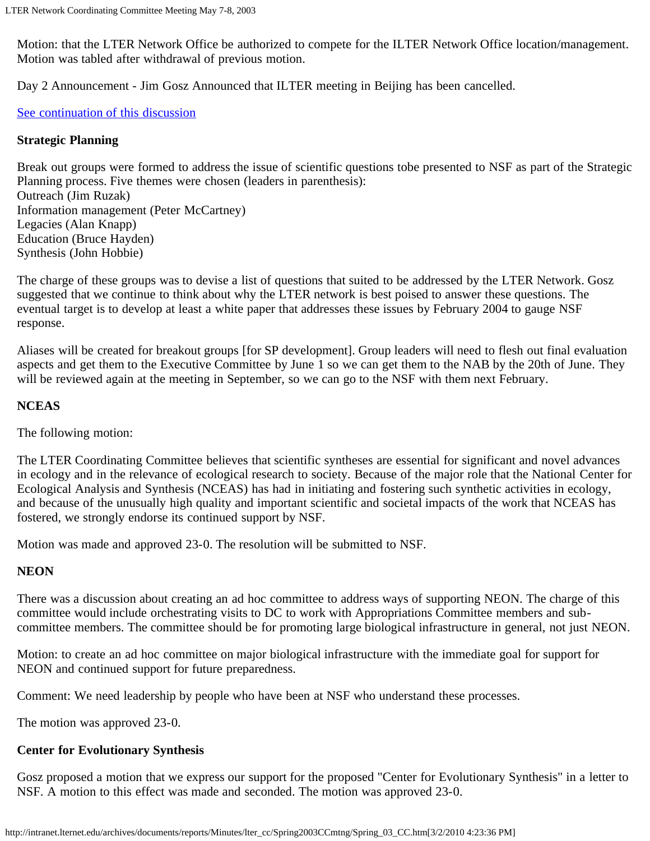Motion: that the LTER Network Office be authorized to compete for the ILTER Network Office location/management. Motion was tabled after withdrawal of previous motion.

Day 2 Announcement - Jim Gosz Announced that ILTER meeting in Beijing has been cancelled.

### [See continuation of this discussion](#page-8-3)

#### <span id="page-7-0"></span>**Strategic Planning**

Break out groups were formed to address the issue of scientific questions tobe presented to NSF as part of the Strategic Planning process. Five themes were chosen (leaders in parenthesis): Outreach (Jim Ruzak) Information management (Peter McCartney) Legacies (Alan Knapp) Education (Bruce Hayden) Synthesis (John Hobbie)

The charge of these groups was to devise a list of questions that suited to be addressed by the LTER Network. Gosz suggested that we continue to think about why the LTER network is best poised to answer these questions. The eventual target is to develop at least a white paper that addresses these issues by February 2004 to gauge NSF response.

Aliases will be created for breakout groups [for SP development]. Group leaders will need to flesh out final evaluation aspects and get them to the Executive Committee by June 1 so we can get them to the NAB by the 20th of June. They will be reviewed again at the meeting in September, so we can go to the NSF with them next February.

### <span id="page-7-1"></span>**NCEAS**

The following motion:

The LTER Coordinating Committee believes that scientific syntheses are essential for significant and novel advances in ecology and in the relevance of ecological research to society. Because of the major role that the National Center for Ecological Analysis and Synthesis (NCEAS) has had in initiating and fostering such synthetic activities in ecology, and because of the unusually high quality and important scientific and societal impacts of the work that NCEAS has fostered, we strongly endorse its continued support by NSF.

Motion was made and approved 23-0. The resolution will be submitted to NSF.

### <span id="page-7-3"></span>**NEON**

There was a discussion about creating an ad hoc committee to address ways of supporting NEON. The charge of this committee would include orchestrating visits to DC to work with Appropriations Committee members and subcommittee members. The committee should be for promoting large biological infrastructure in general, not just NEON.

Motion: to create an ad hoc committee on major biological infrastructure with the immediate goal for support for NEON and continued support for future preparedness.

Comment: We need leadership by people who have been at NSF who understand these processes.

The motion was approved 23-0.

### <span id="page-7-2"></span>**Center for Evolutionary Synthesis**

Gosz proposed a motion that we express our support for the proposed "Center for Evolutionary Synthesis" in a letter to NSF. A motion to this effect was made and seconded. The motion was approved 23-0.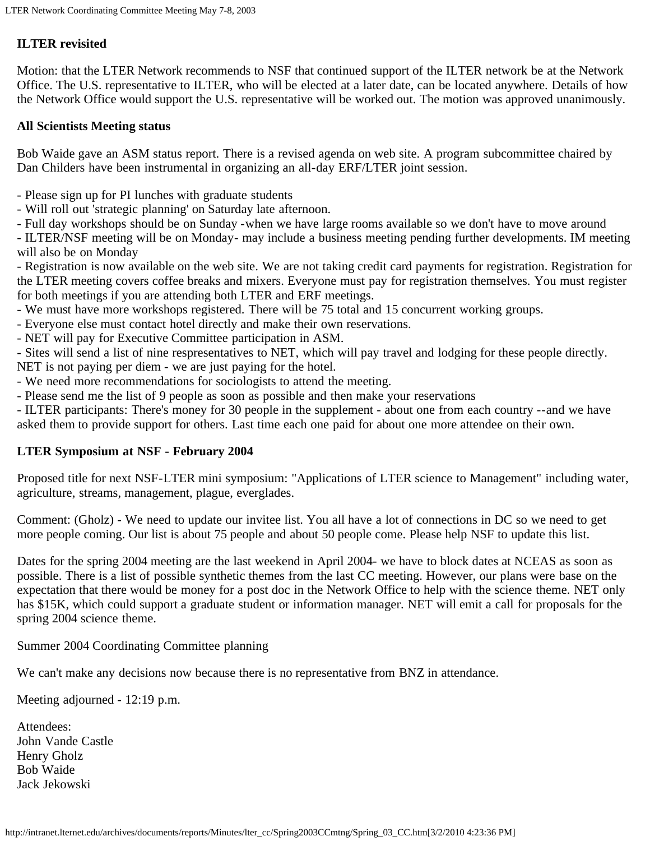# <span id="page-8-3"></span>**ILTER revisited**

Motion: that the LTER Network recommends to NSF that continued support of the ILTER network be at the Network Office. The U.S. representative to ILTER, who will be elected at a later date, can be located anywhere. Details of how the Network Office would support the U.S. representative will be worked out. The motion was approved unanimously.

#### <span id="page-8-1"></span>**All Scientists Meeting status**

Bob Waide gave an ASM status report. There is a revised agenda on web site. A program subcommittee chaired by Dan Childers have been instrumental in organizing an all-day ERF/LTER joint session.

- Please sign up for PI lunches with graduate students
- Will roll out 'strategic planning' on Saturday late afternoon.
- Full day workshops should be on Sunday -when we have large rooms available so we don't have to move around

- ILTER/NSF meeting will be on Monday- may include a business meeting pending further developments. IM meeting will also be on Monday

- Registration is now available on the web site. We are not taking credit card payments for registration. Registration for the LTER meeting covers coffee breaks and mixers. Everyone must pay for registration themselves. You must register for both meetings if you are attending both LTER and ERF meetings.

- We must have more workshops registered. There will be 75 total and 15 concurrent working groups.
- Everyone else must contact hotel directly and make their own reservations.
- NET will pay for Executive Committee participation in ASM.
- Sites will send a list of nine respresentatives to NET, which will pay travel and lodging for these people directly.
- NET is not paying per diem we are just paying for the hotel.
- We need more recommendations for sociologists to attend the meeting.
- Please send me the list of 9 people as soon as possible and then make your reservations

- ILTER participants: There's money for 30 people in the supplement - about one from each country --and we have asked them to provide support for others. Last time each one paid for about one more attendee on their own.

#### <span id="page-8-0"></span>**LTER Symposium at NSF - February 2004**

Proposed title for next NSF-LTER mini symposium: "Applications of LTER science to Management" including water, agriculture, streams, management, plague, everglades.

Comment: (Gholz) - We need to update our invitee list. You all have a lot of connections in DC so we need to get more people coming. Our list is about 75 people and about 50 people come. Please help NSF to update this list.

Dates for the spring 2004 meeting are the last weekend in April 2004- we have to block dates at NCEAS as soon as possible. There is a list of possible synthetic themes from the last CC meeting. However, our plans were base on the expectation that there would be money for a post doc in the Network Office to help with the science theme. NET only has \$15K, which could support a graduate student or information manager. NET will emit a call for proposals for the spring 2004 science theme.

Summer 2004 Coordinating Committee planning

We can't make any decisions now because there is no representative from BNZ in attendance.

Meeting adjourned - 12:19 p.m.

<span id="page-8-2"></span>Attendees: John Vande Castle Henry Gholz Bob Waide Jack Jekowski